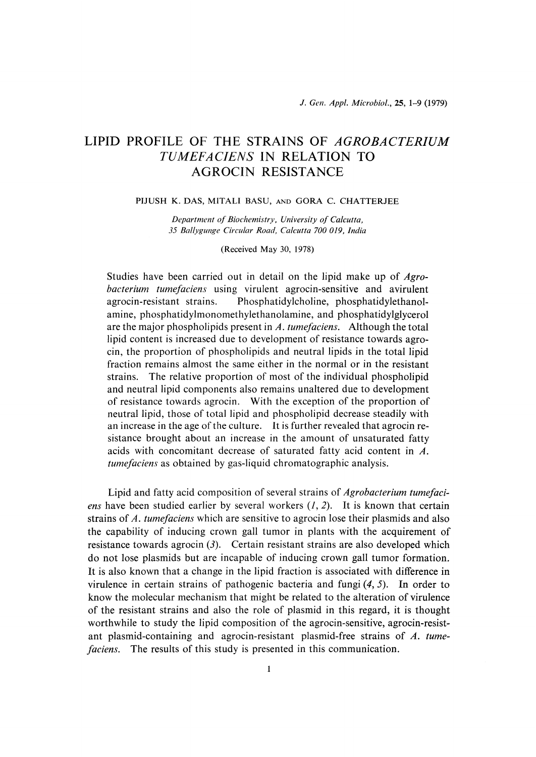# LIPID PROFILE OF THE STRAINS OF AGROBACTERIUM TUMEFACIENS IN RELATION TO AGROCIN RESISTANCE

### PIJUSH K. DAS, MITALI BASU, AND GORA C. CHATTERJEE

Department of Biochemistry, University of Calcutta, 35 Ballygunge Circular Road, Calcutta 700 019, India

(Received May 30, 1978)

Studies have been carried out in detail on the lipid make up of Agrobacterium tumefaciens using virulent agrocin-sensitive and avirulent agrocin-resistant strains. Phosphatidylcholine, phosphatidylethanolamine, phosphatidylmonomethylethanolamine, and phosphatidylglycerol are the major phospholipids present in  $\Lambda$ . tumefaciens. Although the total lipid content is increased due to development of resistance towards agrocin, the proportion of phospholipids and neutral lipids in the total lipid fraction remains almost the same either in the normal or in the resistant strains. The relative proportion of most of the individual phospholipid and neutral lipid components also remains unaltered due to development of resistance towards agrocin. With the exception of the proportion of neutral lipid, those of total lipid and phospholipid decrease steadily with an increase in the age of the culture. It is further revealed that agrocin resistance brought about an increase in the amount of unsaturated fatty acids with concomitant decrease of saturated fatty acid content in A. tumefaciens as obtained by gas-liquid chromatographic analysis.

 Lipid and fatty acid composition of several strains of Agrobacterium tumefaciens have been studied earlier by several workers  $(1, 2)$ . It is known that certain strains of A. tumefaciens which are sensitive to agrocin lose their plasmids and also the capability of inducing crown gall tumor in plants with the acquirement of resistance towards agrocin  $(3)$ . Certain resistant strains are also developed which do not lose plasmids but are incapable of inducing crown gall tumor formation. It is also known that a change in the lipid fraction is associated with difference in virulence in certain strains of pathogenic bacteria and fungi  $(4, 5)$ . In order to know the molecular mechanism that might be related to the alteration of virulence of the resistant strains and also the role of plasmid in this regard, it is thought worthwhile to study the lipid composition of the agrocin-sensitive, agrocin-resistant plasmid-containing and agrocin-resistant plasmid-free strains of A, tumefaciens. The results of this study is presented in this communication.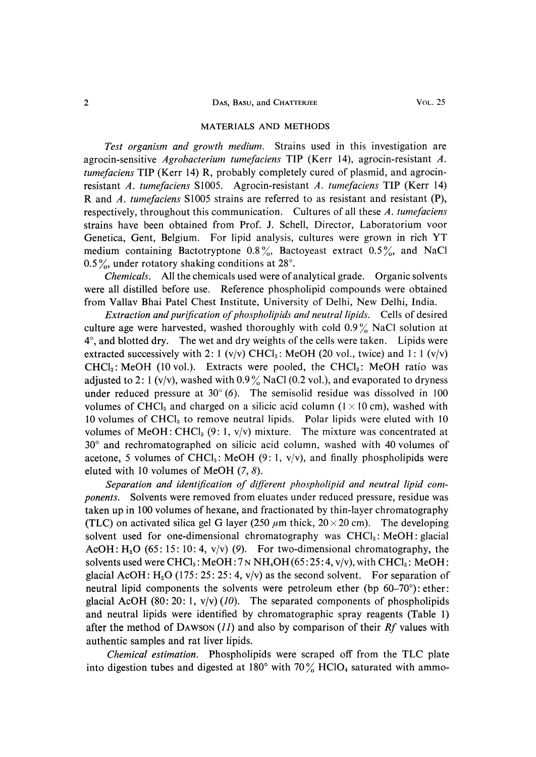### 2 DAS, BASU, and CHATTERJEE VOL. 25

#### MATERIALS AND METHODS

 Test organism and growth medium. Strains used in this investigation are agrocin-sensitive *Agrobacterium tumefaciens* TIP (Kerr 14), agrocin-resistant A. tumefaciens TIP (Kerr 14) R, probably completely cured of plasmid, and agrocinresistant A. tumefaciens S1005. Agrocin-resistant A. tumefaciens TIP (Kerr 14) R and A. tumefaciens S1005 strains are referred to as resistant and resistant (P), respectively, throughout this communication. Cultures of all these  $A$ . tumefaciens strains have been obtained from Prof. J. Schell, Director, Laboratorium voor Genetica, Gent, Belgium. For lipid analysis, cultures were grown in rich YT medium containing Bactotryptone 0.8%, Bactoyeast extract  $0.5\%$ , and NaCl 0.5%, under rotatory shaking conditions at  $28^\circ$ .

 Chemicals. All the chemicals used were of analytical grade. Organic solvents were all distilled before use. Reference phospholipid compounds were obtained from Vallav Bhai Patel Chest Institute, University of Delhi, New Delhi, India.

 Extraction and purification of phospholipids and neutral lipids. Cells of desired culture age were harvested, washed thoroughly with cold  $0.9\%$  NaCl solution at  $4^\circ$ , and blotted dry. The wet and dry weights of the cells were taken. Lipids were extracted successively with 2: 1 (v/v) CHCl<sub>3</sub>: MeOH (20 vol., twice) and 1: 1 (v/v)  $CHCl<sub>3</sub>$ : MeOH (10 vol.). Extracts were pooled, the CHCl<sub>3</sub>: MeOH ratio was adjusted to 2: 1 (v/v), washed with  $0.9\%$  NaCl (0.2 vol.), and evaporated to dryness under reduced pressure at  $30^{\circ}$  (6). The semisolid residue was dissolved in 100 volumes of CHCl<sub>3</sub> and charged on a silicic acid column ( $1 \times 10$  cm), washed with 10 volumes of CHC13 to remove neutral lipids. Polar lipids were eluted with 10 volumes of MeOH: CHCl<sub>3</sub> (9:1, v/v) mixture. The mixture was concentrated at 30° and rechromatographed on silicic acid column, washed with 40 volumes of acetone, 5 volumes of CHCl<sub>3</sub>: MeOH (9:1,  $v/v$ ), and finally phospholipids were eluted with 10 volumes of MeOH  $(7, 8)$ .

 Separation and identification of different phospholipid and neutral lipid components. Solvents were removed from eluates under reduced pressure, residue was taken up in 100 volumes of hexane, and fractionated by thin-layer chromatography (TLC) on activated silica gel G layer (250  $\mu$ m thick, 20 × 20 cm). The developing solvent used for one-dimensional chromatography was  $CHCl<sub>3</sub>$ : MeOH: glacial AcOH:  $H_2O$  (65: 15: 10: 4, v/v) (9). For two-dimensional chromatography, the solvents used were CHCl<sub>3</sub>: MeOH:  $7 \text{ N} \text{ H}_4\text{OH}$  (65:25:4, v/v), with CHCl<sub>3</sub>: MeOH: glacial AcOH:  $H_2O$  (175: 25: 25: 4, v/v) as the second solvent. For separation of neutral lipid components the solvents were petroleum ether (bp  $60-70^{\circ}$ ): ether: glacial AcOH (80: 20: 1,  $v/v$ ) (10). The separated components of phospholipids and neutral lipids were identified by chromatographic spray reagents (Table 1) after the method of DAWSON  $(11)$  and also by comparison of their Rf values with authentic samples and rat liver lipids.

 Chemical estimation. Phospholipids were scraped off from the TLC plate into digestion tubes and digested at 180 $^{\circ}$  with 70 $\frac{\%}{\%}$  HClO<sub>4</sub> saturated with ammo-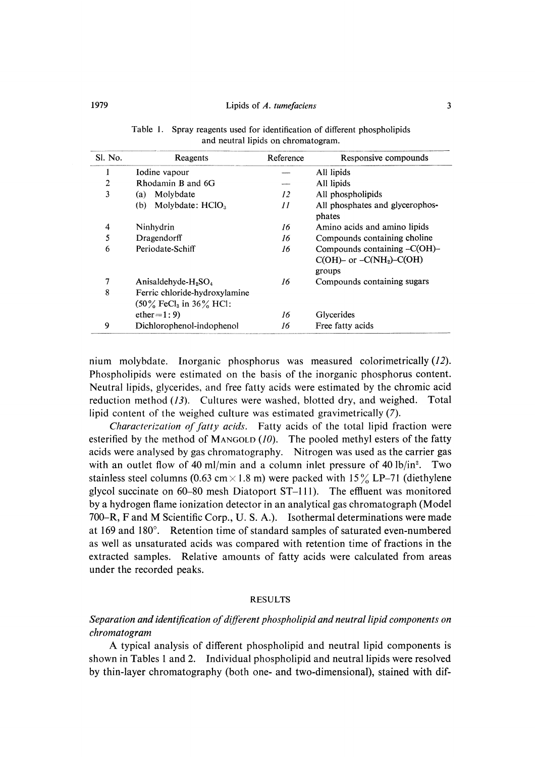### 1979 Lipids of A. tumefaciens 3

| Sl. No.        | Reagents                                                               | Reference | Responsive compounds                                                       |
|----------------|------------------------------------------------------------------------|-----------|----------------------------------------------------------------------------|
| 1              | Iodine vapour                                                          |           | All lipids                                                                 |
| $\overline{2}$ | Rhodamin B and 6G                                                      |           | All lipids                                                                 |
| 3              | Molybdate<br>(a)                                                       | 12        | All phospholipids                                                          |
|                | Molybdate: HClO <sub>3</sub><br>(b)                                    | 11        | All phosphates and glycerophos-<br>phates                                  |
| 4              | Ninhydrin                                                              | 16        | Amino acids and amino lipids                                               |
| 5              | Dragendorff                                                            | 16        | Compounds containing choline                                               |
| 6              | Periodate-Schiff                                                       | 16        | Compounds containing $-C(OH)$ -<br>$C(OH)$ - or $-C(NH2)$ -C(OH)<br>groups |
| 7              | Anisaldehyde- $H9SO4$                                                  | 16        | Compounds containing sugars                                                |
| 8              | Ferric chloride-hydroxylamine<br>$(50\%$ FeCl <sub>3</sub> in 36% HCl: |           |                                                                            |
|                | $ether=1:9$                                                            | 16        | Glycerides                                                                 |
| 9              | Dichlorophenol-indophenol                                              | 16        | Free fatty acids                                                           |

Table 1. Spray reagents used for identification of different phospholipids and neutral lipids on chromatogram.

nium molybdate. Inorganic phosphorus was measured colorimetrically (12). Phospholipids were estimated on the basis of the inorganic phosphorus content. Neutral lipids, glycerides, and free fatty acids were estimated by the chromic acid reduction method (13). Cultures were washed, blotted dry, and weighed. Total lipid content of the weighed culture was estimated gravimetrically (7).

 Characterization of fatty acids. Fatty acids of the total lipid fraction were esterified by the method of MANGOLD  $(10)$ . The pooled methyl esters of the fatty acids were analysed by gas chromatography. Nitrogen was used as the carrier gas with an outlet flow of 40 ml/min and a column inlet pressure of 40 lb/in<sup>2</sup>. Two stainless steel columns (0.63 cm  $\times$  1.8 m) were packed with 15% LP-71 (diethylene glycol succinate on 60-80 mesh Diatoport ST-111). The effluent was monitored by a hydrogen flame ionization detector in an analytical gas chromatograph (Model 700-R, F and M Scientific Corp., U. S. A.). Isothermal determinations were made at 169 and 180°. Retention time of standard samples of saturated even-numbered as well as unsaturated acids was compared with retention time of fractions in the extracted samples. Relative amounts of fatty acids were calculated from areas under the recorded peaks.

### RESULTS

# Separation and identification of different phospholipid and neutral lipid components on chromatogram

 A typical analysis of different phospholipid and neutral lipid components is shown in Tables 1 and 2. Individual phospholipid and neutral lipids were resolved by thin-layer chromatography (both one- and two-dimensional), stained with dif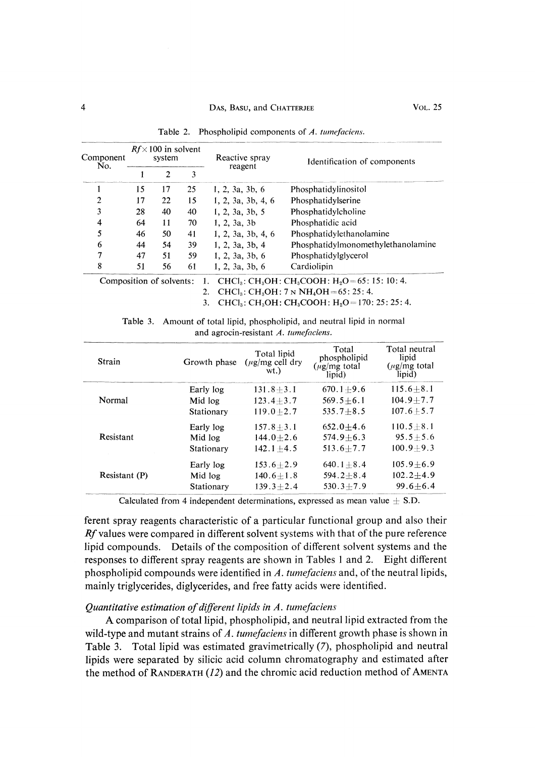| Component<br>No.         |    | $Rf \times 100$ in solvent<br>system |    | Reactive spray     | Identification of components                                                                     |
|--------------------------|----|--------------------------------------|----|--------------------|--------------------------------------------------------------------------------------------------|
|                          |    | $\overline{2}$                       | 3  | reagent            |                                                                                                  |
|                          | 15 | 17                                   | 25 | 1, 2, 3a, 3b, 6    | Phosphatidylinositol                                                                             |
| 2                        | 17 | 22                                   | 15 | 1, 2, 3a, 3b, 4, 6 | Phosphatidylserine                                                                               |
| 3                        | 28 | 40                                   | 40 | 1, 2, 3a, 3b, 5    | Phosphatidylcholine                                                                              |
| 4                        | 64 | 11                                   | 70 | 1, 2, 3a, 3b       | Phosphatidic acid                                                                                |
| 5                        | 46 | 50                                   | 41 | 1, 2, 3a, 3b, 4, 6 | Phosphatidylethanolamine                                                                         |
| 6                        | 44 | 54                                   | 39 | 1, 2, 3a, 3b, 4    | Phosphatidylmonomethylethanolamine                                                               |
|                          | 47 | 51                                   | 59 | 1, 2, 3a, 3b, 6    | Phosphatidylglycerol                                                                             |
| 8                        | 51 | 56                                   | 61 | 1, 2, 3a, 3b, 6    | Cardiolipin                                                                                      |
| Composition of solvents: |    |                                      |    |                    | 1. CHCl <sub>3</sub> : CH <sub>3</sub> OH: CH <sub>3</sub> COOH: H <sub>2</sub> O=65: 15: 10: 4. |

Table 2. Phospholipid components of A. tumefaciens.

2. CHCl<sub>3</sub>: CH<sub>3</sub>OH: 7 N NH<sub>4</sub>OH = 65: 25: 4. 3. CHCl<sub>3</sub>: CH<sub>3</sub>OH: CH<sub>3</sub>COOH: H<sub>2</sub>O=170: 25: 25: 4.

| Strain        | Growth phase | Total lipid<br>$(\mu$ g/mg cell dry<br>wt.) | Total<br>phospholipid<br>$(\mu$ g/mg total<br>lipid) | Total neutral<br>lipid<br>$(\mu$ g/mg total<br>lipid) |
|---------------|--------------|---------------------------------------------|------------------------------------------------------|-------------------------------------------------------|
|               | Early log    | $131.8 + 3.1$                               | $670.1 + 9.6$                                        | $115.6 + 8.1$                                         |
| Normal        | Mid log      | $123.4 + 3.7$                               | $569.5 + 6.1$                                        | $104.9 + 7.7$                                         |
|               | Stationary   | $119.0 + 2.7$                               | $535.7 + 8.5$                                        | $107.6 + 5.7$                                         |
|               | Early log    | $157.8 + 3.1$                               | $652.0 + 4.6$                                        | $110.5 + 8.1$                                         |
| Resistant     | Mid log      | $144.0 + 2.6$                               | $574.9 + 6.3$                                        | $95.5 + 5.6$                                          |
|               | Stationary   | $142.1 + 4.5$                               | $513.6 + 7.7$                                        | $100.9 + 9.3$                                         |
|               | Early log    | $153.6 + 2.9$                               | $640.1 + 8.4$                                        | $105.9 + 6.9$                                         |
| Resistant (P) | Mid log      | $140.6 + 1.8$                               | $594.2 + 8.4$                                        | $102.2 + 4.9$                                         |
|               | Stationary   | $139.3 + 2.4$                               | $530.3 + 7.9$                                        | $99.6 + 6.4$                                          |

Table 3. Amount of total lipid, phospholipid, and neutral lipid in normal and agrocin-resistant A. tumefaciens.

Calculated from 4 independent determinations, expressed as mean value  $\pm$  S.D.

ferent spray reagents characteristic of a particular functional group and also their Rf values were compared in different solvent systems with that of the pure reference lipid compounds. Details of the composition of different solvent systems and the responses to different spray reagents are shown in Tables 1 and 2. Eight different phospholipid compounds were identified in A. tumefaciens and, of the neutral lipids, mainly triglycerides, diglycerides, and free fatty acids were identified.

### Quantitative estimation of different lipids in  $A$ . tumefaciens

 A comparison of total lipid, phospholipid, and neutral lipid extracted from the wild-type and mutant strains of A. tumefaciens in different growth phase is shown in Table 3. Total lipid was estimated gravimetrically (7), phospholipid and neutral lipids were separated by silicic acid column chromatography and estimated after the method of RANDERATH (12) and the chromic acid reduction method of AMENTA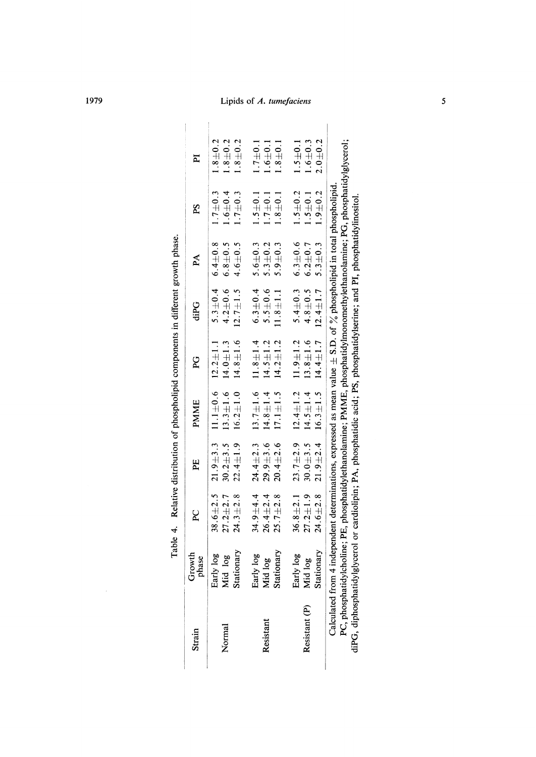| Strain        | Growth<br>phase                                                                                                                                                                                                                                                          | R                                                | 뇌                                                               | <b>PMME</b>                                        | 2<br>A                                                            | diPG                                           | $\mathbb{A}$                                              | Sd.                                       | E                                         |
|---------------|--------------------------------------------------------------------------------------------------------------------------------------------------------------------------------------------------------------------------------------------------------------------------|--------------------------------------------------|-----------------------------------------------------------------|----------------------------------------------------|-------------------------------------------------------------------|------------------------------------------------|-----------------------------------------------------------|-------------------------------------------|-------------------------------------------|
| Normal        | Stationary<br>Early log<br>Mid log                                                                                                                                                                                                                                       | $27.2 + 2.7$<br>$24.3 + 2.8$                     | $38.6 \pm 2.5$ 21.9 $\pm 3.3$<br>$22.4 \pm 1.9$<br>$30.2 + 3.5$ | $13.3 + 1.6$<br>$16.2 \pm 1.0$                     | $14.8 \pm 1.6$<br>$11.1 \pm 0.6$ $12.2 \pm 1.1$<br>$14.0 \pm 1.3$ | $12.7 \pm 1.5$<br>$5.3 \pm 0.4$<br>$4.2 + 0.6$ | $6.4 \pm 0.8$<br>$4.6 + 0.5$<br>$6.8 + 0.5$               | $1.7 + 0.3$<br>$1.6 + 0.4$<br>$1.7 + 0.3$ | $1.8 + 0.2$<br>$1.8 + 0.2$<br>$1.8 + 0.2$ |
| Resistant     | Early log<br>Mid log                                                                                                                                                                                                                                                     | $34.9 + 4.4$<br>$26.4 \pm 2.4$                   | $24.4 \pm 2.3$<br>$29.9 + 3.6$                                  | $13.7 \pm 1.6$ $11.8 \pm 1.4$<br>$14.8 \pm 1.4$    | $14.5 \pm 1.2$                                                    | $6.3 \pm 0.4$<br>$5.5 + 0.6$                   | $5.6 + 0.3$<br>$5.3 + 0.2$                                | $1.5 + 0.1$<br>$1.7 \pm 0.1$              | $1.7 + 0.1$<br>$1.6 + 0.1$                |
| Resistant (P) | Stationary<br>Early log<br>Mid log                                                                                                                                                                                                                                       | $27.2 + 1.9$<br>$36.8 \pm 2.1$<br>$25.7 \pm 2.8$ | $23.7 \pm 2.9$<br>$30.0 + 3.5$<br>$20.4 + 2.6$                  | $12.4 \pm 1.2$<br>$17.1 \pm 1.5$<br>$14.5 \pm 1.4$ | $11.9 \pm 1.2$<br>$13.8 + 1.6$<br>$14.2 \pm 1.2$                  | $4.8 + 0.5$<br>$11.8 + 1.1$                    | $5.4 \pm 0.3$ 6.3 $\pm 0.6$<br>$6.2 + 0.7$<br>$5.9 + 0.3$ | $1.5 + 0.2$<br>$1.5 + 0.1$<br>$1.8 + 0.1$ | $1.6 + 0.3$<br>$1.5 + 0.1$<br>$1.8 + 0.1$ |
|               | PC, phosphatidylcholine; PE, phosphatidylethanolamine; PMME, phosphatidylmonomethylethanolamine; PG, phosphatidylglycerol;<br>Calculated from 4 independent determinations, expressed as mean value $\pm$ S.D. of $\%$ phospholipid in total phospholipid.<br>Stationary | $24.6 \pm 2.8$                                   | $21.9 \pm 2.4$ 16.3 $\pm 1.5$                                   |                                                    | $14.4 + 1.7$                                                      | $12.4 \pm 1.7$                                 | $5.3 + 0.3$                                               | $1.9 + 0.2$                               | $2.0 + 0.2$                               |

diPG, diphosphatidylglycerol or cardiolipin; PA, phosphatidic acid; PS, phosphatidylserine; and PI, phosphatidylinositol.

| ;<br>; | ֧ׅ֧֧֚֚֚֚֚֚֚֚֚֚֚֚֚֚֚֚֚֚֚֚֚֚֚֚֚֚֚֚֬֡֡֡֡֡֜֓֝֬ |
|--------|--------------------------------------------|
|        |                                            |
|        |                                            |
|        |                                            |
|        |                                            |
|        |                                            |

 $\cdot$ 

1979 Lipids of A. tumefaciens 5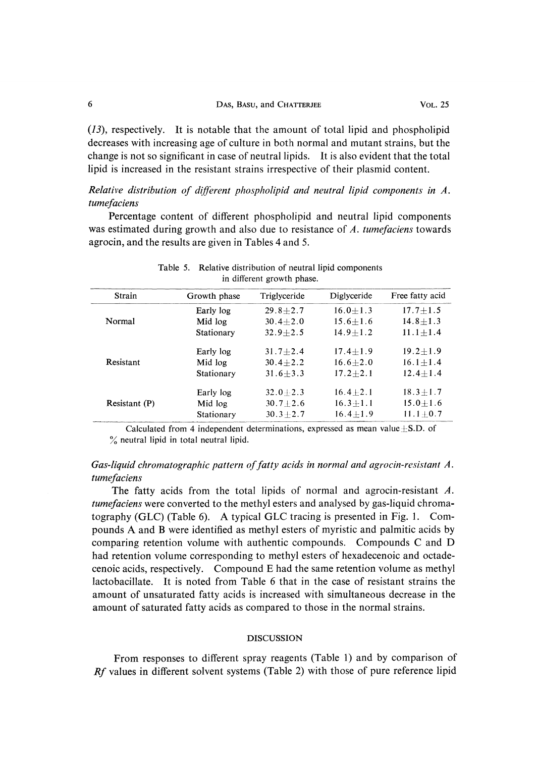| DAS, BASU, and CHATTERJEE | VOL. 25 |
|---------------------------|---------|
|                           |         |

(13), respectively. It is notable that the amount of total lipid and phospholipid decreases with increasing age of culture in both normal and mutant strains, but the change is not so significant in case of neutral lipids. It is also evident that the total lipid is increased in the resistant strains irrespective of their plasmid content.

Relative distribution of different phospholipid and neutral lipid components in A. tumefaciens

 Percentage content of different phospholipid and neutral lipid components was estimated during growth and also due to resistance of A. tumefaciens towards agrocin, and the results are given in Tables 4 and 5.

| Strain        | Growth phase | Triglyceride | Diglyceride  | Free fatty acid |  |
|---------------|--------------|--------------|--------------|-----------------|--|
|               | Early log    | $29.8 + 2.7$ | $16.0 + 1.3$ | $17.7 + 1.5$    |  |
| Normal        | Mid log      | $30.4 + 2.0$ | $15.6 + 1.6$ | $14.8 + 1.3$    |  |
|               | Stationary   | $32.9 + 2.5$ | $14.9 + 1.2$ | $11.1 + 1.4$    |  |
|               | Early log    | $31.7 + 2.4$ | $17.4 + 1.9$ | $19.2 + 1.9$    |  |
| Resistant     | Mid log      | $30.4 + 2.2$ | $16.6 + 2.0$ | $16.1 + 1.4$    |  |
|               | Stationary   | $31.6 + 3.3$ | $17.2 + 2.1$ | $12.4 + 1.4$    |  |
|               | Early log    | $32.0 + 2.3$ | $16.4 + 2.1$ | $18.3 + 1.7$    |  |
| Resistant (P) | Mid log      | $30.7 + 2.6$ | $16.3 + 1.1$ | $15.0 + 1.6$    |  |
|               | Stationary   | $30.3 + 2.7$ | $16.4 + 1.9$ | $11.1 \pm 0.7$  |  |

| Table 5. Relative distribution of neutral lipid components |
|------------------------------------------------------------|
| in different growth phase.                                 |

Calculated from 4 independent determinations, expressed as mean value $\pm$ S.D. of % neutral lipid in total neutral lipid.

## Gas-liquid chromatographic pattern of fatty acids in normal and agrocin-resistant A. tumefaciens

The fatty acids from the total lipids of normal and agrocin-resistant A. tumefaciens were converted to the methyl esters and analysed by gas-liquid chromatography (GLC) (Table 6). A typical GLC tracing is presented in Fig. 1. Compounds A and B were identified as methyl esters of myristic and palmitic acids by comparing retention volume with authentic compounds. Compounds C and D had retention volume corresponding to methyl esters of hexadecenoic and octadecenoic acids, respectively. Compound E had the same retention volume as methyl lactobacillate. It is noted from Table 6 that in the case of resistant strains the amount of unsaturated fatty acids is increased with simultaneous decrease in the amount of saturated fatty acids as compared to those in the normal strains.

### DISCUSSION

 From responses to different spray reagents (Table 1) and by comparison of Rf values in different solvent systems (Table 2) with those of pure reference lipid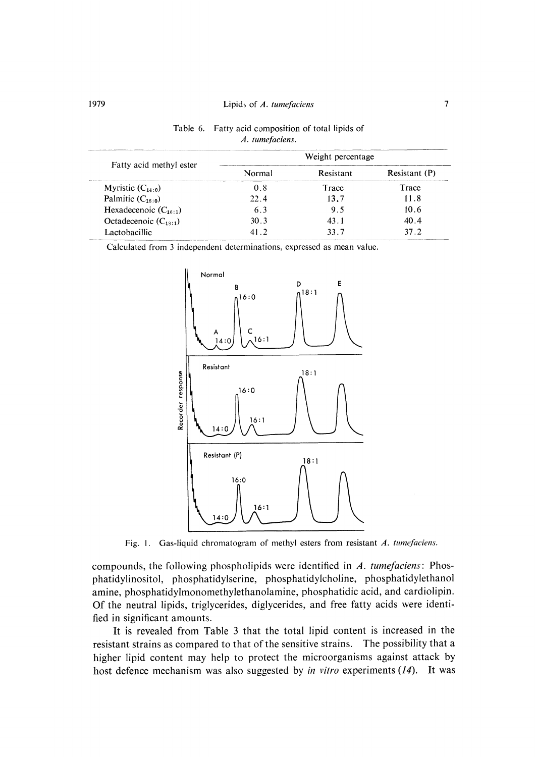|                           |        | Weight percentage |               |
|---------------------------|--------|-------------------|---------------|
| Fatty acid methyl ester   | Normal | Resistant         | Resistant (P) |
| Myristic $(C_{14,0})$     | 0.8    | Trace             | Trace         |
| Palmitic $(C_{16:0})$     | 22.4   | 13.7              | 11.8          |
| Hexadecenoic $(C_{18:1})$ | 63     | 95                | 10.6          |
| Octadecenoic $(C_{1s:1})$ | 30.3   | 43.1              | 40.4          |
| Lactobacillic             | 41 Z   | 337               | 37 Z          |

| Table 6. Fatty acid composition of total lipids of |
|----------------------------------------------------|
| A. tumefaciens.                                    |

Calculated from 3 independent determinations, expressed as mean value.



Fig. 1. Gas-liquid chromatogram of methyl esters from resistant A. tumefaciens.

compounds, the following phospholipids were identified in  $A$ , tumefaciens: Phosphatidylinositol, phosphatidylserine, phosphatidylcholine, phosphatidylethanol amine, phosphatidylmonomethylethanolamine, phosphatidic acid, and cardiolipin. Of the neutral lipids, triglycerides, diglycerides, and free fatty acids were identified in significant amounts.

 It is revealed from Table 3 that the total lipid content is increased in the resistant strains as compared to that of the sensitive strains. The possibility that a higher lipid content may help to protect the microorganisms against attack by host defence mechanism was also suggested by in vitro experiments  $(14)$ . It was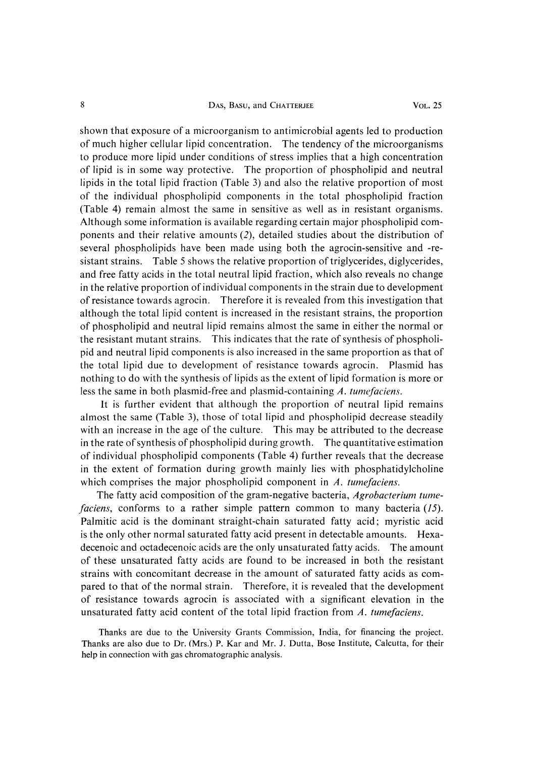### 8 DAS, BASU, and CHATTERJEE VOL. 25

shown that exposure of a microorganism to antimicrobial agents led to production of much higher cellular lipid concentration. The tendency of the microorganisms to produce more lipid under conditions of stress implies that a high concentration of lipid is in some way protective. The proportion of phospholipid and neutral lipids in the total lipid fraction (Table 3) and also the relative proportion of most of the individual phospholipid components in the total phospholipid fraction (Table 4) remain almost the same in sensitive as well as in resistant organisms. Although some information is available regarding certain major phospholipid components and their relative amounts (2), detailed studies about the distribution of several phospholipids have been made using both the agrocin-sensitive and -resistant strains. Table 5 shows the relative proportion of triglycerides, diglycerides, and free fatty acids in the total neutral lipid fraction, which also reveals no change in the relative proportion of individual components in the strain due to development of resistance towards agrocin. Therefore it is revealed from this investigation that although the total lipid content is increased in the resistant strains, the proportion of phospholipid and neutral lipid remains almost the same in either the normal or the resistant mutant strains. This indicates that the rate of synthesis of phospholipid and neutral lipid components is also increased in the same proportion as that of the total lipid due to development of resistance towards agrocin. Plasmid has nothing to do with the synthesis of lipids as the extent of lipid formation is more or less the same in both plasmid-free and plasmid-containing  $A$ , tume faciens.

 It is further evident that although the proportion of neutral lipid remains almost the same (Table 3), those of total lipid and phospholipid decrease steadily with an increase in the age of the culture. This may be attributed to the decrease in the rate of synthesis of phospholipid during growth. The quantitative estimation of individual phospholipid components (Table 4) further reveals that the decrease in the extent of formation during growth mainly lies with phosphatidylcholine which comprises the major phospholipid component in A, tumefaciens.

The fatty acid composition of the gram-negative bacteria, Agrobacterium tumefaciens, conforms to a rather simple pattern common to many bacteria (15). Palmitic acid is the dominant straight-chain saturated fatty acid; myristic acid is the only other normal saturated fatty acid present in detectable amounts. Hexadecenoic and octadecenoic acids are the only unsaturated fatty acids. The amount of these unsaturated fatty acids are found to be increased in both the resistant strains with concomitant decrease in the amount of saturated fatty acids as compared to that of the normal strain. Therefore, it is revealed that the development of resistance towards agrocin is associated with a significant elevation in the unsaturated fatty acid content of the total lipid fraction from A, tumefaciens.

 Thanks are due to the University Grants Commission, India, for financing the project. Thanks are also due to Dr. (Mrs.) P. Kar and Mr. J. Dutta, Bose Institute, Calcutta, for their help in connection with gas chromatographic analysis.